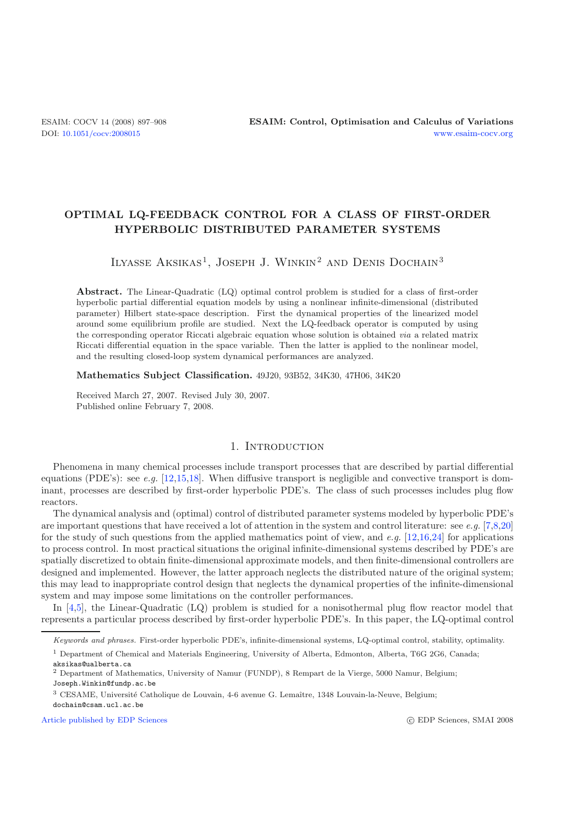# **OPTIMAL LQ-FEEDBACK CONTROL FOR A CLASS OF FIRST-ORDER HYPERBOLIC DISTRIBUTED PARAMETER SYSTEMS**

ILYASSE AKSIKAS<sup>1</sup>, JOSEPH J. WINKIN<sup>2</sup> AND DENIS DOCHAIN<sup>3</sup>

**Abstract.** The Linear-Quadratic (LQ) optimal control problem is studied for a class of first-order hyperbolic partial differential equation models by using a nonlinear infinite-dimensional (distributed parameter) Hilbert state-space description. First the dynamical properties of the linearized model around some equilibrium profile are studied. Next the LQ-feedback operator is computed by using the corresponding operator Riccati algebraic equation whose solution is obtained *via* a related matrix Riccati differential equation in the space variable. Then the latter is applied to the nonlinear model, and the resulting closed-loop system dynamical performances are analyzed.

**Mathematics Subject Classification.** 49J20, 93B52, 34K30, 47H06, 34K20

Received March 27, 2007. Revised July 30, 2007. Published online February 7, 2008.

## 1. INTRODUCTION

Phenomena in many chemical processes include transport processes that are described by partial differential equations (PDE's): see *e.g.* [\[12](#page-11-0)[,15](#page-11-1)[,18\]](#page-11-2). When diffusive transport is negligible and convective transport is dominant, processes are described by first-order hyperbolic PDE's. The class of such processes includes plug flow reactors.

The dynamical analysis and (optimal) control of distributed parameter systems modeled by hyperbolic PDE's are important questions that have received a lot of attention in the system and control literature: see *e.g.* [\[7](#page-11-3)[,8](#page-11-4)[,20](#page-11-5)] for the study of such questions from the applied mathematics point of view, and *e.g.* [\[12](#page-11-0)[,16](#page-11-6)[,24\]](#page-11-7) for applications to process control. In most practical situations the original infinite-dimensional systems described by PDE's are spatially discretized to obtain finite-dimensional approximate models, and then finite-dimensional controllers are designed and implemented. However, the latter approach neglects the distributed nature of the original system; this may lead to inappropriate control design that neglects the dynamical properties of the infinite-dimensional system and may impose some limitations on the controller performances.

In [\[4](#page-11-8)[,5](#page-11-9)], the Linear-Quadratic (LQ) problem is studied for a nonisothermal plug flow reactor model that represents a particular process described by first-order hyperbolic PDE's. In this paper, the LQ-optimal control

[Article published by EDP Sciences](http://www.edpsciences.org)

Keywords and phrases. First-order hyperbolic PDE's, infinite-dimensional systems, LQ-optimal control, stability, optimality.

<sup>1</sup> Department of Chemical and Materials Engineering, University of Alberta, Edmonton, Alberta, T6G 2G6, Canada; aksikas@ualberta.ca

<sup>2</sup> Department of Mathematics, University of Namur (FUNDP), 8 Rempart de la Vierge, 5000 Namur, Belgium;

Joseph.Winkin@fundp.ac.be

<sup>&</sup>lt;sup>3</sup> CESAME, Université Catholique de Louvain, 4-6 avenue G. Lemaître, 1348 Louvain-la-Neuve, Belgium; dochain@csam.ucl.ac.be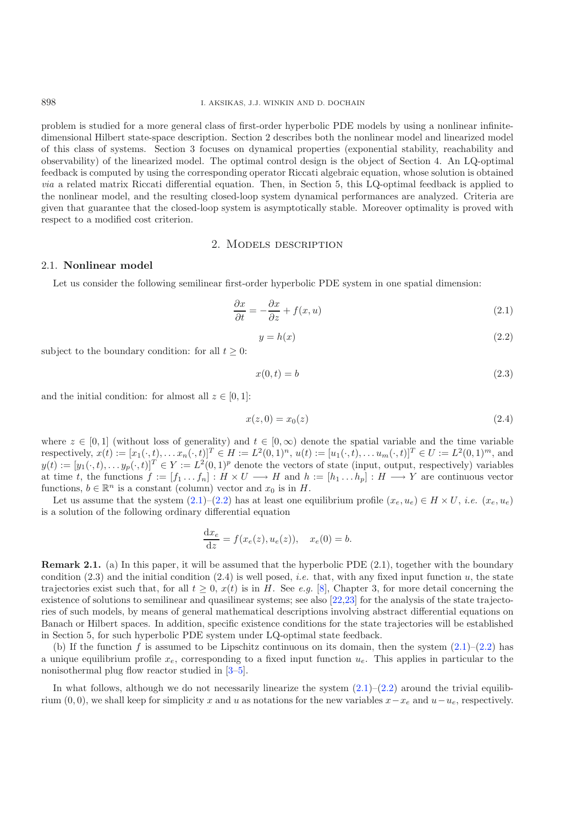problem is studied for a more general class of first-order hyperbolic PDE models by using a nonlinear infinitedimensional Hilbert state-space description. Section 2 describes both the nonlinear model and linearized model of this class of systems. Section 3 focuses on dynamical properties (exponential stability, reachability and observability) of the linearized model. The optimal control design is the object of Section 4. An LQ-optimal feedback is computed by using the corresponding operator Riccati algebraic equation, whose solution is obtained *via* a related matrix Riccati differential equation. Then, in Section 5, this LQ-optimal feedback is applied to the nonlinear model, and the resulting closed-loop system dynamical performances are analyzed. Criteria are given that guarantee that the closed-loop system is asymptotically stable. Moreover optimality is proved with respect to a modified cost criterion.

### <span id="page-1-1"></span><span id="page-1-0"></span>2. Models description

## 2.1. **Nonlinear model**

Let us consider the following semilinear first-order hyperbolic PDE system in one spatial dimension:

$$
\frac{\partial x}{\partial t} = -\frac{\partial x}{\partial z} + f(x, u) \tag{2.1}
$$

$$
y = h(x) \tag{2.2}
$$

subject to the boundary condition: for all  $t \geq 0$ :

$$
x(0,t) = b \tag{2.3}
$$

and the initial condition: for almost all  $z \in [0, 1]$ :

$$
x(z,0) = x_0(z)
$$
 (2.4)

where  $z \in [0,1]$  (without loss of generality) and  $t \in [0,\infty)$  denote the spatial variable and the time variable respectively,  $x(t) := [x_1(\cdot, t), \ldots, x_n(\cdot, t)]^T \in H := L^2(0, 1)^n, u(t) := [u_1(\cdot, t), \ldots, u_m(\cdot, t)]^T \in U := L^2(0, 1)^m$ , and  $y(t) := [y_1(\cdot, t), \ldots y_p(\cdot, t)]^T \in Y := L^2(0, 1)^p$  denote the vectors of state (input, output, respectively) variables at time t, the functions  $f := [f_1 \dots f_n] : H \times U \longrightarrow H$  and  $h := [h_1 \dots h_p] : H \longrightarrow Y$  are continuous vector functions,  $b \in \mathbb{R}^n$  is a constant (column) vector and  $x_0$  is in H.

Let us assume that the system  $(2.1)$ – $(2.2)$  has at least one equilibrium profile  $(x_e, u_e) \in H \times U$ , *i.e.*  $(x_e, u_e)$ is a solution of the following ordinary differential equation

$$
\frac{\mathrm{d}x_e}{\mathrm{d}z} = f(x_e(z), u_e(z)), \quad x_e(0) = b.
$$

**Remark 2.1.** (a) In this paper, it will be assumed that the hyperbolic PDE (2.1), together with the boundary condition  $(2.3)$  and the initial condition  $(2.4)$  is well posed, *i.e.* that, with any fixed input function u, the state trajectories exist such that, for all  $t > 0$ ,  $x(t)$  is in H. See *e.g.* [\[8](#page-11-4)], Chapter 3, for more detail concerning the existence of solutions to semilinear and quasilinear systems; see also [\[22](#page-11-10)[,23\]](#page-11-11) for the analysis of the state trajectories of such models, by means of general mathematical descriptions involving abstract differential equations on Banach or Hilbert spaces. In addition, specific existence conditions for the state trajectories will be established in Section 5, for such hyperbolic PDE system under LQ-optimal state feedback.

(b) If the function f is assumed to be Lipschitz continuous on its domain, then the system  $(2.1)$ – $(2.2)$  has a unique equilibrium profile  $x_e$ , corresponding to a fixed input function  $u_e$ . This applies in particular to the nonisothermal plug flow reactor studied in [\[3](#page-11-12)[–5\]](#page-11-9).

In what follows, although we do not necessarily linearize the system  $(2.1)$ – $(2.2)$  around the trivial equilibrium  $(0, 0)$ , we shall keep for simplicity x and u as notations for the new variables  $x-x_e$  and  $u-u_e$ , respectively.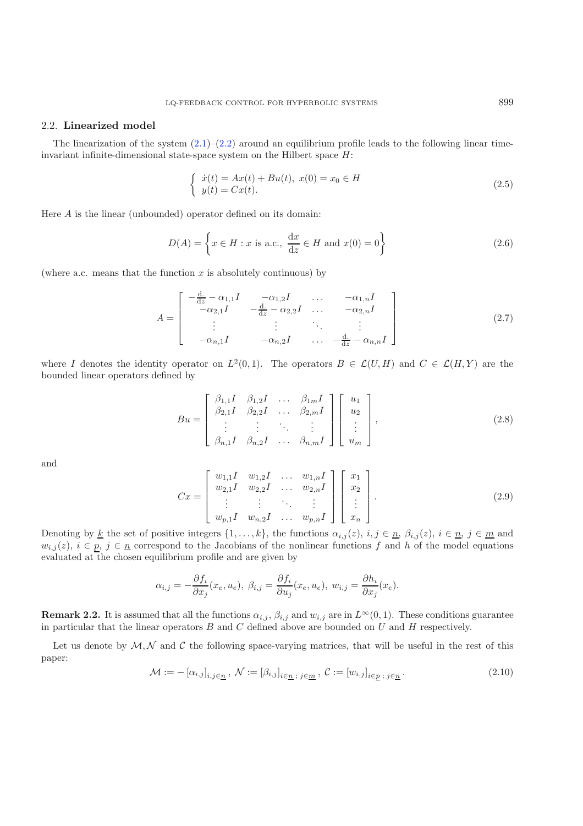### <span id="page-2-3"></span><span id="page-2-0"></span>2.2. **Linearized model**

<span id="page-2-4"></span>The linearization of the system  $(2.1)$ – $(2.2)$  around an equilibrium profile leads to the following linear timeinvariant infinite-dimensional state-space system on the Hilbert space  $H$ :

$$
\begin{cases}\n\dot{x}(t) = Ax(t) + Bu(t), \ x(0) = x_0 \in H \\
y(t) = Cx(t).\n\end{cases}
$$
\n(2.5)

Here A is the linear (unbounded) operator defined on its domain:

$$
D(A) = \left\{ x \in H : x \text{ is a.c., } \frac{\mathrm{d}x}{\mathrm{d}z} \in H \text{ and } x(0) = 0 \right\}
$$
 (2.6)

(where a.c. means that the function  $x$  is absolutely continuous) by

<span id="page-2-5"></span>
$$
A = \begin{bmatrix} -\frac{d}{dz} - \alpha_{1,1}I & -\alpha_{1,2}I & \dots & -\alpha_{1,n}I \\ -\alpha_{2,1}I & -\frac{d}{dz} - \alpha_{2,2}I & \dots & -\alpha_{2,n}I \\ \vdots & \vdots & \ddots & \vdots \\ -\alpha_{n,1}I & -\alpha_{n,2}I & \dots & -\frac{d}{dz} - \alpha_{n,n}I \end{bmatrix}
$$
(2.7)

<span id="page-2-1"></span>where I denotes the identity operator on  $L^2(0,1)$ . The operators  $B \in \mathcal{L}(U, H)$  and  $C \in \mathcal{L}(H, Y)$  are the bounded linear operators defined by

$$
Bu = \begin{bmatrix} \beta_{1,1}I & \beta_{1,2}I & \dots & \beta_{1m}I \\ \beta_{2,1}I & \beta_{2,2}I & \dots & \beta_{2,m}I \\ \vdots & \vdots & \ddots & \vdots \\ \beta_{n,1}I & \beta_{n,2}I & \dots & \beta_{n,m}I \end{bmatrix} \begin{bmatrix} u_1 \\ u_2 \\ \vdots \\ u_m \end{bmatrix},
$$
(2.8)

and

$$
Cx = \begin{bmatrix} w_{1,1}I & w_{1,2}I & \dots & w_{1,n}I \\ w_{2,1}I & w_{2,2}I & \dots & w_{2,n}I \\ \vdots & \vdots & \ddots & \vdots \\ w_{p,1}I & w_{n,2}I & \dots & w_{p,n}I \end{bmatrix} \begin{bmatrix} x_1 \\ x_2 \\ \vdots \\ x_n \end{bmatrix}.
$$
 (2.9)

<span id="page-2-2"></span>Denoting by <u>k</u> the set of positive integers  $\{1,\ldots,k\}$ , the functions  $\alpha_{i,j}(z), i,j \in \underline{n}, \beta_{i,j}(z), i \in \underline{n}, j \in \underline{m}$  and  $w_{i,j}(z)$ ,  $i \in p$ ,  $j \in \underline{n}$  correspond to the Jacobians of the nonlinear functions f and h of the model equations evaluated at the chosen equilibrium profile and are given by

$$
\alpha_{i,j} = -\frac{\partial f_i}{\partial x_j}(x_e, u_e), \ \beta_{i,j} = \frac{\partial f_i}{\partial u_j}(x_e, u_e), \ w_{i,j} = \frac{\partial h_i}{\partial x_j}(x_e).
$$

**Remark 2.2.** It is assumed that all the functions  $\alpha_{i,j}$ ,  $\beta_{i,j}$  and  $w_{i,j}$  are in  $L^{\infty}(0,1)$ . These conditions guarantee in particular that the linear operators  $B$  and  $C$  defined above are bounded on  $U$  and  $H$  respectively.

Let us denote by  $M, N$  and C the following space-varying matrices, that will be useful in the rest of this paper:

$$
\mathcal{M} := -\left[\alpha_{i,j}\right]_{i,j \in \underline{n}}, \ \mathcal{N} := \left[\beta_{i,j}\right]_{i \in \underline{n}}, \ \mathcal{C} := \left[w_{i,j}\right]_{i \in \underline{p}}, \ \mathcal{C} := \left[\alpha_{i,j}\right]_{i \in \underline{n}}.\tag{2.10}
$$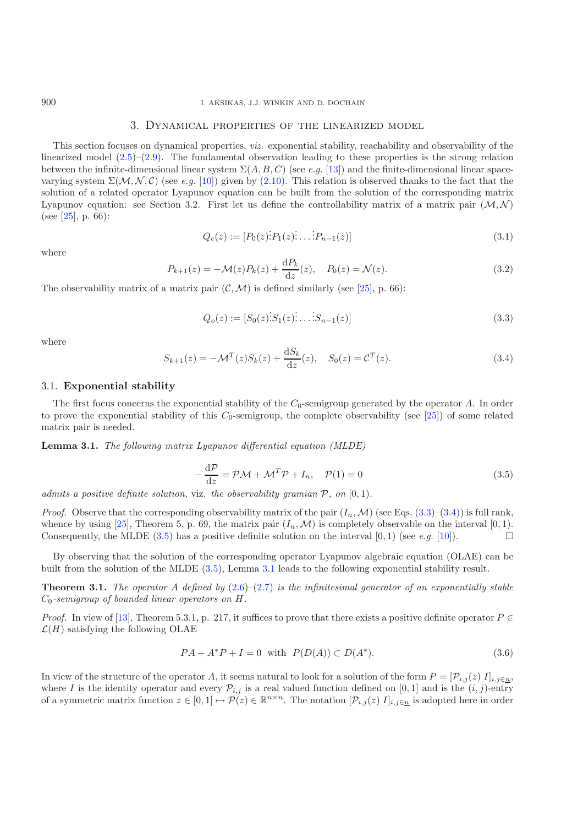#### <span id="page-3-7"></span><span id="page-3-6"></span><span id="page-3-0"></span>3. Dynamical properties of the linearized model

This section focuses on dynamical properties, *viz.* exponential stability, reachability and observability of the linearized model  $(2.5)$ – $(2.9)$ . The fundamental observation leading to these properties is the strong relation between the infinite-dimensional linear system  $\Sigma(A, B, C)$  (see *e.g.* [\[13](#page-11-13)]) and the finite-dimensional linear spacevarying system  $\Sigma(\mathcal{M}, \mathcal{N}, \mathcal{C})$  (see *e.g.* [\[10\]](#page-11-14)) given by [\(2.10\)](#page-2-2). This relation is observed thanks to the fact that the solution of a related operator Lyapunov equation can be built from the solution of the corresponding matrix Lyapunov equation: see Section 3.2. First let us define the controllability matrix of a matrix pair  $(M, N)$ (see [ $25$ ], p. 66):

$$
Q_c(z) := [P_0(z) \, \dot{P}_1(z) \, \dot{P}_{n-1}(z)] \tag{3.1}
$$

<span id="page-3-1"></span>where

$$
P_{k+1}(z) = -\mathcal{M}(z)P_k(z) + \frac{dP_k}{dz}(z), \quad P_0(z) = \mathcal{N}(z).
$$
 (3.2)

The observability matrix of a matrix pair  $(C, \mathcal{M})$  is defined similarly (see [\[25](#page-11-15)], p. 66):

$$
Q_o(z) := [S_0(z)\dot{S}_1(z)\dot{S}_{n-1}(z)]
$$
\n(3.3)

where

<span id="page-3-2"></span>
$$
S_{k+1}(z) = -\mathcal{M}^T(z)S_k(z) + \frac{dS_k}{dz}(z), \quad S_0(z) = \mathcal{C}^T(z).
$$
 (3.4)

### 3.1. **Exponential stability**

The first focus concerns the exponential stability of the  $C_0$ -semigroup generated by the operator A. In order to prove the exponential stability of this  $C_0$ -semigroup, the complete observability (see [\[25\]](#page-11-15)) of some related matrix pair is needed.

<span id="page-3-3"></span>**Lemma 3.1.** *The following matrix Lyapunov differential equation (MLDE)*

$$
-\frac{d\mathcal{P}}{dz} = \mathcal{P}\mathcal{M} + \mathcal{M}^T \mathcal{P} + I_n, \quad \mathcal{P}(1) = 0
$$
\n(3.5)

*admits a positive definite solution,* viz. *the observability gramian* P*, on* [0, 1)*.*

<span id="page-3-4"></span>*Proof.* Observe that the corresponding observability matrix of the pair  $(I_n, \mathcal{M})$  (see Eqs. [\(3.3\)](#page-3-0)–[\(3.4\)](#page-3-1)) is full rank, whence by using [\[25](#page-11-15)], Theorem 5, p. 69, the matrix pair  $(I_n, \mathcal{M})$  is completely observable on the interval [0, 1). Consequently, the MLDE  $(3.5)$  has a positive definite solution on the interval  $[0, 1)$  (see *e.g.* [\[10\]](#page-11-14)).

<span id="page-3-5"></span>By observing that the solution of the corresponding operator Lyapunov algebraic equation (OLAE) can be built from the solution of the MLDE [\(3.5\)](#page-3-2), Lemma [3.1](#page-3-3) leads to the following exponential stability result.

**Theorem 3.1.** *The operator* A *defined by* [\(2.6\)](#page-2-3)–[\(2.7\)](#page-2-4) *is the infinitesimal generator of an exponentially stable* C0*-semigroup of bounded linear operators on* H*.*

*Proof.* In view of [\[13](#page-11-13)], Theorem 5.3.1, p. 217, it suffices to prove that there exists a positive definite operator  $P \in$  $\mathcal{L}(H)$  satisfying the following OLAE

$$
PA + A^*P + I = 0
$$
 with  $P(D(A)) \subset D(A^*)$ . (3.6)

In view of the structure of the operator A, it seems natural to look for a solution of the form  $P = [\mathcal{P}_{i,j}(z) I]_{i,j \in \mathbb{R}}$ , where I is the identity operator and every  $\mathcal{P}_{i,j}$  is a real valued function defined on [0, 1] and is the  $(i, j)$ -entry of a symmetric matrix function  $z \in [0,1] \mapsto \mathcal{P}(z) \in \mathbb{R}^{n \times n}$ . The notation  $[\mathcal{P}_{i,j}(z) I]_{i,j \in \underline{n}}$  is adopted here in order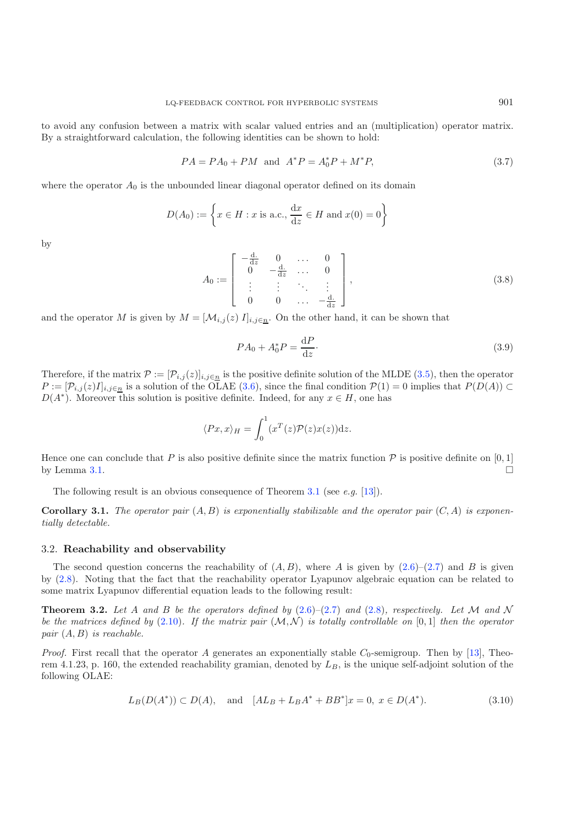to avoid any confusion between a matrix with scalar valued entries and an (multiplication) operator matrix. By a straightforward calculation, the following identities can be shown to hold:

<span id="page-4-2"></span>
$$
PA = PA_0 + PM
$$
 and  $A^*P = A_0^*P + M^*P$ , (3.7)

where the operator  $A_0$  is the unbounded linear diagonal operator defined on its domain

$$
D(A_0) := \left\{ x \in H : x \text{ is a.c., } \frac{dx}{dz} \in H \text{ and } x(0) = 0 \right\}
$$

by

$$
A_0 := \begin{bmatrix} -\frac{d}{dz} & 0 & \cdots & 0 \\ 0 & -\frac{d}{dz} & \cdots & 0 \\ \vdots & \vdots & \ddots & \vdots \\ 0 & 0 & \cdots & -\frac{d}{dz} \end{bmatrix},
$$
(3.8)

and the operator M is given by  $M = [\mathcal{M}_{i,j}(z)]_{i,j \in n}$ . On the other hand, it can be shown that

$$
PA_0 + A_0^*P = \frac{\mathrm{d}P}{\mathrm{d}z}.\tag{3.9}
$$

Therefore, if the matrix  $\mathcal{P} := [\mathcal{P}_{i,j}(z)]_{i,j \in \underline{n}}$  is the positive definite solution of the MLDE [\(3.5\)](#page-3-2), then the operator  $P := [\mathcal{P}_{i,j}(z)I]_{i,j\in n}$  is a solution of the OLAE [\(3.6\)](#page-3-4), since the final condition  $\mathcal{P}(1) = 0$  implies that  $P(D(A)) \subset$  $D(A^*)$ . Moreover this solution is positive definite. Indeed, for any  $x \in H$ , one has

$$
\langle Px, x \rangle_H = \int_0^1 (x^T(z)\mathcal{P}(z)x(z))\mathrm{d}z.
$$

Hence one can conclude that P is also positive definite since the matrix function  $\mathcal P$  is positive definite on [0, 1] by Lemma [3.1.](#page-3-3)  $\Box$ 

The following result is an obvious consequence of Theorem [3.1](#page-3-5) (see *e.g.* [\[13](#page-11-13)]).

**Corollary 3.1.** The operator pair  $(A, B)$  is exponentially stabilizable and the operator pair  $(C, A)$  is exponen*tially detectable.*

#### <span id="page-4-0"></span>3.2. **Reachability and observability**

The second question concerns the reachability of  $(A, B)$ , where A is given by  $(2.6)$ – $(2.7)$  and B is given by [\(2.8\)](#page-2-5). Noting that the fact that the reachability operator Lyapunov algebraic equation can be related to some matrix Lyapunov differential equation leads to the following result:

<span id="page-4-1"></span>**Theorem 3.2.** Let A and B be the operators defined by  $(2.6)-(2.7)$  $(2.6)-(2.7)$  $(2.6)-(2.7)$  and  $(2.8)$ *, respectively. Let* M and N *be the matrices defined by* [\(2.10\)](#page-2-2). If the matrix pair  $(M, N)$  is totally controllable on [0, 1] then the operator *pair* (A, B) *is reachable.*

*Proof.* First recall that the operator A generates an exponentially stable  $C_0$ -semigroup. Then by [\[13\]](#page-11-13), Theorem 4.1.23, p. 160, the extended reachability gramian, denoted by  $L_B$ , is the unique self-adjoint solution of the following OLAE:

$$
L_B(D(A^*)) \subset D(A), \quad \text{and} \quad [AL_B + L_B A^* + BB^*]x = 0, \ x \in D(A^*). \tag{3.10}
$$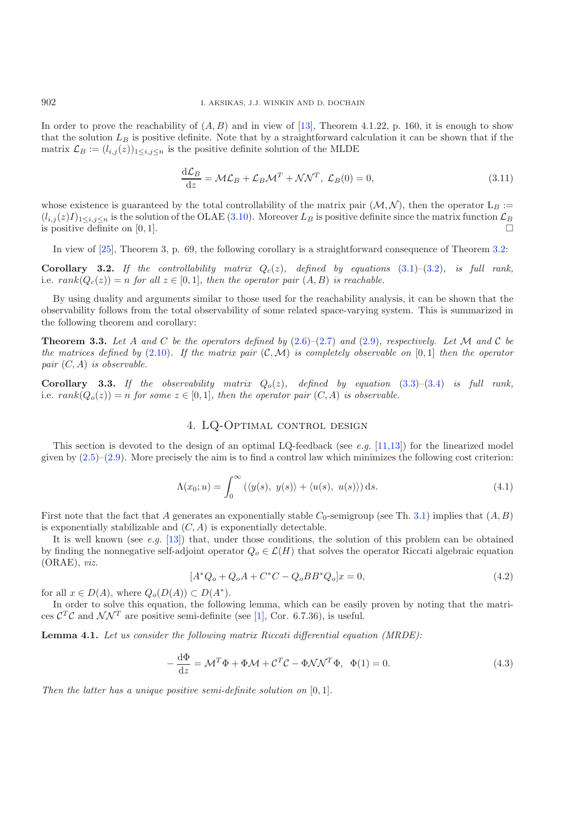In order to prove the reachability of  $(A, B)$  and in view of [\[13\]](#page-11-13), Theorem 4.1.22, p. 160, it is enough to show that the solution  $L_B$  is positive definite. Note that by a straightforward calculation it can be shown that if the matrix  $\mathcal{L}_B := (l_{i,j}(z))_{1 \le i,j \le n}$  is the positive definite solution of the MLDE

$$
\frac{\mathrm{d}\mathcal{L}_B}{\mathrm{d}z} = \mathcal{M}\mathcal{L}_B + \mathcal{L}_B \mathcal{M}^T + \mathcal{N}\mathcal{N}^T, \ \mathcal{L}_B(0) = 0,\tag{3.11}
$$

whose existence is guaranteed by the total controllability of the matrix pair  $(M, N)$ , then the operator  $L_B :=$  $(l_{i,j}(z)I)_{1\leq i,j\leq n}$  is the solution of the OLAE [\(3.10\)](#page-4-0). Moreover  $L_B$  is positive definite since the matrix function  $\mathcal{L}_B$ is positive definite on  $[0, 1]$ .

In view of [\[25\]](#page-11-15), Theorem 3, p. 69, the following corollary is a straightforward consequence of Theorem [3.2:](#page-4-1)

**Corollary 3.2.** *If the controllability matrix*  $Q_c(z)$ *, defined by equations* [\(3.1\)](#page-3-6)–[\(3.2\)](#page-3-7)*, is full rank,* i.e.  $rank(Q_c(z)) = n$  *for all*  $z \in [0, 1]$ *, then the operator pair*  $(A, B)$  *is reachable.* 

By using duality and arguments similar to those used for the reachability analysis, it can be shown that the observability follows from the total observability of some related space-varying system. This is summarized in the following theorem and corollary:

**Theorem 3.3.** Let A and C be the operators defined by  $(2.6)-(2.7)$  $(2.6)-(2.7)$  $(2.6)-(2.7)$  and  $(2.9)$ *, respectively. Let* M and C be *the matrices defined by* [\(2.10\)](#page-2-2). If the matrix pair  $(C, \mathcal{M})$  is completely observable on [0,1] then the operator *pair* (C, A) *is observable.*

**Corollary 3.3.** If the observability matrix  $Q_o(z)$ , defined by equation [\(3.3\)](#page-3-0)–[\(3.4\)](#page-3-1) is full rank, i.e.  $rank(Q_o(z)) = n$  *for some*  $z \in [0, 1]$ *, then the operator pair*  $(C, A)$  *is observable.* 

## <span id="page-5-1"></span>4. LQ-Optimal control design

This section is devoted to the design of an optimal LQ-feedback (see *e.g.* [\[11](#page-11-16)[,13](#page-11-13)]) for the linearized model given by  $(2.5)-(2.9)$  $(2.5)-(2.9)$  $(2.5)-(2.9)$ . More precisely the aim is to find a control law which minimizes the following cost criterion:

$$
\Lambda(x_0; u) = \int_0^\infty (\langle y(s), y(s) \rangle + \langle u(s), u(s) \rangle) ds.
$$
\n(4.1)

<span id="page-5-0"></span>First note that the fact that A generates an exponentially stable  $C_0$ -semigroup (see Th. [3.1\)](#page-3-5) implies that  $(A, B)$ is exponentially stabilizable and  $(C, A)$  is exponentially detectable.

It is well known (see *e.g.* [\[13](#page-11-13)]) that, under those conditions, the solution of this problem can be obtained by finding the nonnegative self-adjoint operator  $Q_o \in \mathcal{L}(H)$  that solves the operator Riccati algebraic equation (ORAE), *viz.*

$$
[A^*Q_o + Q_oA + C^*C - Q_oBB^*Q_o]x = 0,
$$
\n(4.2)

for all  $x \in D(A)$ , where  $Q_o(D(A)) \subset D(A^*)$ .

In order to solve this equation, the following lemma, which can be easily proven by noting that the matrices  $\mathcal{C}^T\mathcal{C}$  and  $\mathcal{N}\mathcal{N}^T$  are positive semi-definite (see [\[1](#page-11-17)], Cor. 6.7.36), is useful.

**Lemma 4.1.** *Let us consider the following matrix Riccati differential equation (MRDE):*

$$
-\frac{d\Phi}{dz} = \mathcal{M}^T \Phi + \Phi \mathcal{M} + \mathcal{C}^T \mathcal{C} - \Phi \mathcal{N} \mathcal{N}^T \Phi, \quad \Phi(1) = 0.
$$
\n(4.3)

*Then the latter has a unique positive semi-definite solution on* [0, 1]*.*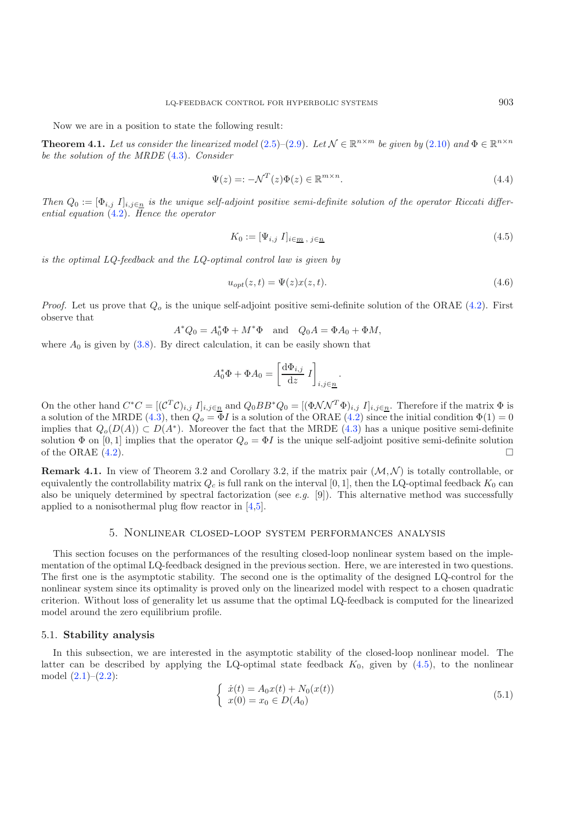Now we are in a position to state the following result:

**Theorem 4.1.** Let us consider the linearized model  $(2.5)-(2.9)$  $(2.5)-(2.9)$  $(2.5)-(2.9)$ . Let  $\mathcal{N} \in \mathbb{R}^{n \times m}$  be given by  $(2.10)$  and  $\Phi \in \mathbb{R}^{n \times n}$ *be the solution of the MRDE* [\(4.3\)](#page-5-0)*. Consider*

<span id="page-6-2"></span><span id="page-6-0"></span>
$$
\Psi(z) =: -\mathcal{N}^T(z)\Phi(z) \in \mathbb{R}^{m \times n}.
$$
\n(4.4)

*Then*  $Q_0 := [\Phi_{i,j}]_{i,j \in \underline{n}}$  *is the unique self-adjoint positive semi-definite solution of the operator Riccati differential equation* [\(4.2\)](#page-5-1)*. Hence the operator*

$$
K_0 := [\Psi_{i,j} \ I]_{i \in \underline{m}, \ j \in \underline{n}} \tag{4.5}
$$

*is the optimal LQ-feedback and the LQ-optimal control law is given by*

$$
u_{opt}(z,t) = \Psi(z)x(z,t). \tag{4.6}
$$

*Proof.* Let us prove that  $Q<sub>o</sub>$  is the unique self-adjoint positive semi-definite solution of the ORAE [\(4.2\)](#page-5-1). First observe that

$$
A^*Q_0 = A_0^*\Phi + M^*\Phi \quad \text{and} \quad Q_0A = \Phi A_0 + \Phi M,
$$

where  $A_0$  is given by  $(3.8)$ . By direct calculation, it can be easily shown that

$$
A_0^* \Phi + \Phi A_0 = \left[ \frac{\mathrm{d} \Phi_{i,j}}{\mathrm{d} z} I \right]_{i,j \in \underline{n}}.
$$

On the other hand  $C^*C = [(\mathcal{C}^T \mathcal{C})_{i,j} I]_{i,j \in \underline{n}}$  and  $Q_0 BB^*Q_0 = [(\Phi \mathcal{N} \mathcal{N}^T \Phi)_{i,j} I]_{i,j \in \underline{n}}$ . Therefore if the matrix  $\Phi$  is a solution of the MRDE [\(4.3\)](#page-5-0), then  $Q_o = \Phi I$  is a solution of the ORAE [\(4.2\)](#page-5-1) since the initial condition  $\Phi(1) = 0$ implies that  $Q_o(D(A)) \subset D(A^*)$ . Moreover the fact that the MRDE [\(4.3\)](#page-5-0) has a unique positive semi-definite solution  $\Phi$  on [0, 1] implies that the operator  $Q_o = \Phi I$  is the unique self-adjoint positive semi-definite solution of the ORAE  $(4.2)$ .

**Remark 4.1.** In view of Theorem 3.2 and Corollary 3.2, if the matrix pair  $(M, N)$  is totally controllable, or equivalently the controllability matrix  $Q_c$  is full rank on the interval [0, 1], then the LQ-optimal feedback  $K_0$  can also be uniquely determined by spectral factorization (see *e.g.* [9]). This alternative method was successfully applied to a nonisothermal plug flow reactor in [\[4](#page-11-8)[,5](#page-11-9)].

## <span id="page-6-1"></span>5. Nonlinear closed-loop system performances analysis

This section focuses on the performances of the resulting closed-loop nonlinear system based on the implementation of the optimal LQ-feedback designed in the previous section. Here, we are interested in two questions. The first one is the asymptotic stability. The second one is the optimality of the designed LQ-control for the nonlinear system since its optimality is proved only on the linearized model with respect to a chosen quadratic criterion. Without loss of generality let us assume that the optimal LQ-feedback is computed for the linearized model around the zero equilibrium profile.

### 5.1. **Stability analysis**

In this subsection, we are interested in the asymptotic stability of the closed-loop nonlinear model. The latter can be described by applying the LQ-optimal state feedback  $K_0$ , given by  $(4.5)$ , to the nonlinear model  $(2.1)–(2.2)$  $(2.1)–(2.2)$  $(2.1)–(2.2)$ :

$$
\begin{cases} \n\dot{x}(t) = A_0 x(t) + N_0(x(t)) \\ \nx(0) = x_0 \in D(A_0) \n\end{cases} \n\tag{5.1}
$$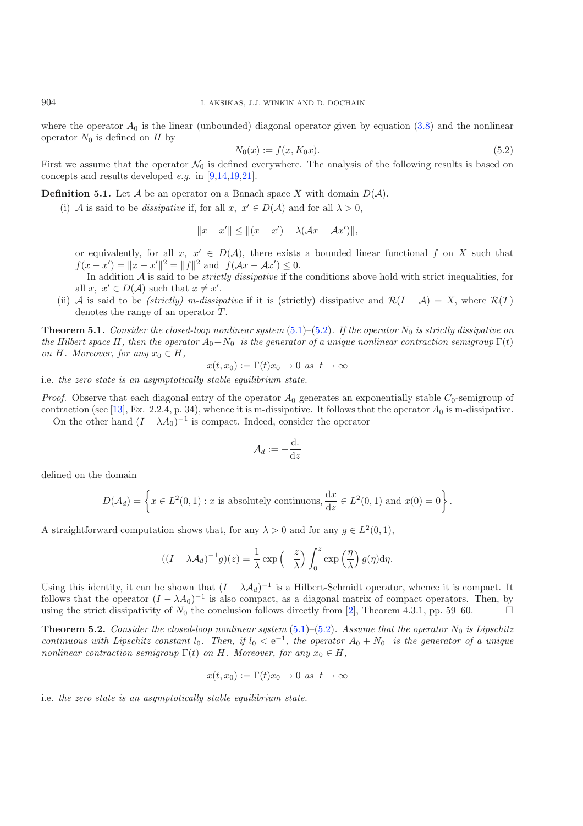where the operator  $A_0$  is the linear (unbounded) diagonal operator given by equation [\(3.8\)](#page-4-2) and the nonlinear operator  $N_0$  is defined on H by

$$
N_0(x) := f(x, K_0 x). \tag{5.2}
$$

First we assume that the operator  $\mathcal{N}_0$  is defined everywhere. The analysis of the following results is based on concepts and results developed *e.g.* in [\[9](#page-11-18)[,14](#page-11-19)[,19](#page-11-20)[,21](#page-11-21)].

**Definition 5.1.** Let  $\mathcal A$  be an operator on a Banach space X with domain  $D(\mathcal A)$ .

(i) A is said to be *dissipative* if, for all  $x, x' \in D(\mathcal{A})$  and for all  $\lambda > 0$ ,

$$
||x - x'|| \le ||(x - x') - \lambda(\mathcal{A}x - \mathcal{A}x')||,
$$

or equivalently, for all x,  $x' \in D(\mathcal{A})$ , there exists a bounded linear functional f on X such that  $f(x - x') = ||x - x'||^2 = ||f||^2$  and  $f(Ax - Ax') \leq 0$ .

In addition A is said to be *strictly dissipative* if the conditions above hold with strict inequalities, for all  $x, x' \in D(\mathcal{A})$  such that  $x \neq x'$ .

(ii) A is said to be *(strictly)* m-dissipative if it is (strictly) dissipative and  $\mathcal{R}(I - \mathcal{A}) = X$ , where  $\mathcal{R}(T)$ denotes the range of an operator  $T$ .

<span id="page-7-1"></span>**Theorem 5.1.** *Consider the closed-loop nonlinear system*  $(5.1)$ – $(5.2)$ *. If the operator*  $N_0$  *is strictly dissipative on the Hilbert space* H, then the operator  $A_0 + N_0$  *is the generator of a unique nonlinear contraction semigroup*  $\Gamma(t)$ *on H. Moreover, for any*  $x_0 \in H$ ,

$$
x(t, x_0) := \Gamma(t)x_0 \to 0 \text{ as } t \to \infty
$$

i.e. *the zero state is an asymptotically stable equilibrium state.*

*Proof.* Observe that each diagonal entry of the operator  $A_0$  generates an exponentially stable  $C_0$ -semigroup of contraction (see [\[13](#page-11-13)], Ex. 2.2.4, p. 34), whence it is m-dissipative. It follows that the operator  $A_0$  is m-dissipative. On the other hand  $(I - \lambda A_0)^{-1}$  is compact. Indeed, consider the operator

$$
\mathcal{A}_d:=-\frac{\mathrm{d.}}{\mathrm{d} z}
$$

defined on the domain

$$
D(\mathcal{A}_d) = \left\{ x \in L^2(0,1) : x \text{ is absolutely continuous}, \frac{dx}{dz} \in L^2(0,1) \text{ and } x(0) = 0 \right\}.
$$

A straightforward computation shows that, for any  $\lambda > 0$  and for any  $g \in L^2(0,1)$ ,

$$
((I - \lambda A_d)^{-1}g)(z) = \frac{1}{\lambda} \exp\left(-\frac{z}{\lambda}\right) \int_0^z \exp\left(\frac{\eta}{\lambda}\right) g(\eta) d\eta.
$$

Using this identity, it can be shown that  $(I - \lambda A_d)^{-1}$  is a Hilbert-Schmidt operator, whence it is compact. It follows that the operator  $(I - \lambda A_0)^{-1}$  is also compact, as a diagonal matrix of compact operators. Then, by using the strict dissipativity of  $N_0$  the conclusion follows directly from [\[2\]](#page-11-22), Theorem 4.3.1, pp. 59–60.

<span id="page-7-2"></span>**Theorem 5.2.** *Consider the closed-loop nonlinear system* [\(5.1\)](#page-6-1)–[\(5.2\)](#page-7-0)*. Assume that the operator*  $N_0$  *is Lipschitz continuous with Lipschitz constant*  $l_0$ *. Then, if*  $l_0 < e^{-1}$ *, the operator*  $A_0 + N_0$  *is the generator of a unique nonlinear contraction semigroup*  $\Gamma(t)$  *on* H. Moreover, for any  $x_0 \in H$ ,

$$
x(t, x_0) := \Gamma(t)x_0 \to 0 \text{ as } t \to \infty
$$

i.e. *the zero state is an asymptotically stable equilibrium state.*

<span id="page-7-0"></span>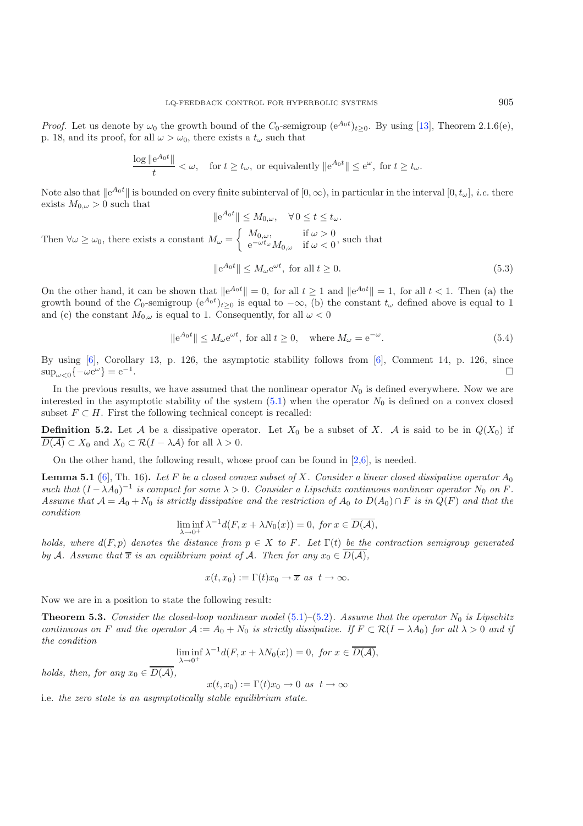*Proof.* Let us denote by  $\omega_0$  the growth bound of the  $C_0$ -semigroup  $(e^{A_0 t})_{t\geq 0}$ . By using [\[13\]](#page-11-13), Theorem 2.1.6(e), p. 18, and its proof, for all  $\omega > \omega_0$ , there exists a  $t_{\omega}$  such that

$$
\frac{\log \|e^{A_0 t}\|}{t} < \omega, \quad \text{for } t \ge t_\omega, \text{ or equivalently } \|e^{A_0 t}\| \le e^\omega, \text{ for } t \ge t_\omega.
$$

Note also that  $||e^{A_0t}||$  is bounded on every finite subinterval of  $[0, \infty)$ , in particular in the interval  $[0, t_{\omega}]$ , *i.e.* there exists  $M_{0,\omega} > 0$  such that

$$
\|e^{A_0 t}\| \le M_{0,\omega}, \quad \forall 0 \le t \le t_{\omega}.
$$
  
Then  $\forall \omega \ge \omega_0$ , there exists a constant  $M_{\omega} = \begin{cases} M_{0,\omega}, & \text{if } \omega > 0 \\ e^{-\omega t_{\omega}} M_{0,\omega} & \text{if } \omega < 0 \end{cases}$ , such that

$$
\|e^{A_0 t}\| \le M_\omega e^{\omega t}, \text{ for all } t \ge 0.
$$
\n
$$
(5.3)
$$

On the other hand, it can be shown that  $||e^{A_0t}|| = 0$ , for all  $t \ge 1$  and  $||e^{A_0t}|| = 1$ , for all  $t < 1$ . Then (a) the growth bound of the  $C_0$ -semigroup  $(e^{A_0 t})_{t\geq 0}$  is equal to  $-\infty$ , (b) the constant  $t_\omega$  defined above is equal to 1 and (c) the constant  $M_{0,\omega}$  is equal to 1. Consequently, for all  $\omega < 0$ 

$$
\|e^{A_0 t}\| \le M_\omega e^{\omega t}, \text{ for all } t \ge 0, \quad \text{where } M_\omega = e^{-\omega}.
$$
 (5.4)

By using [\[6](#page-11-23)], Corollary 13, p. 126, the asymptotic stability follows from [\[6\]](#page-11-23), Comment 14, p. 126, since  $\sup_{\omega \leq 0} \{-\omega e^{\omega}\} = e^{-1}.$ 

In the previous results, we have assumed that the nonlinear operator  $N_0$  is defined everywhere. Now we are interested in the asymptotic stability of the system  $(5.1)$  when the operator  $N_0$  is defined on a convex closed subset  $F \subset H$ . First the following technical concept is recalled:

**Definition 5.2.** Let A be a dissipative operator. Let  $X_0$  be a subset of X. A is said to be in  $Q(X_0)$  if  $D(\mathcal{A}) \subset X_0$  and  $X_0 \subset \mathcal{R}(I - \lambda \mathcal{A})$  for all  $\lambda > 0$ .

On the other hand, the following result, whose proof can be found in  $[2,6]$  $[2,6]$ , is needed.

<span id="page-8-0"></span>**Lemma 5.1** (6), Th. 16). Let F be a closed convex subset of X. Consider a linear closed dissipative operator  $A_0$ *such that*  $(I - \lambda A_0)^{-1}$  *is compact for some*  $\lambda > 0$ *. Consider a Lipschitz continuous nonlinear operator*  $N_0$  *on* F. *Assume that*  $A = A_0 + N_0$  *is strictly dissipative and the restriction of*  $A_0$  *to*  $D(A_0) \cap F$  *is in*  $Q(F)$  *and that the condition*

$$
\liminf_{\lambda \to 0^+} \lambda^{-1} d(F, x + \lambda N_0(x)) = 0, \text{ for } x \in \overline{D(\mathcal{A})},
$$

*holds, where*  $d(F, p)$  *denotes the distance from*  $p \in X$  *to* F. Let  $\Gamma(t)$  *be the contraction semigroup generated by* A. Assume that  $\overline{x}$  *is an equilibrium point of* A. Then for any  $x_0 \in \overline{D(A)}$ ,

$$
x(t, x_0) := \Gamma(t)x_0 \to \overline{x} \text{ as } t \to \infty.
$$

Now we are in a position to state the following result:

**Theorem 5.3.** *Consider the closed-loop nonlinear model*  $(5.1)$ – $(5.2)$ *. Assume that the operator*  $N_0$  *is Lipschitz continuous on* F and the operator  $A := A_0 + N_0$  is strictly dissipative. If  $F \subset \mathcal{R}(I - \lambda A_0)$  *for all*  $\lambda > 0$  *and if the condition*

$$
\liminf_{\lambda \to 0^+} \lambda^{-1} d(F, x + \lambda N_0(x)) = 0, \text{ for } x \in \overline{D(\mathcal{A})},
$$

*holds, then, for any*  $x_0 \in \overline{D(A)}$ ,

$$
x(t, x_0) := \Gamma(t)x_0 \to 0 \text{ as } t \to \infty
$$

i.e. *the zero state is an asymptotically stable equilibrium state.*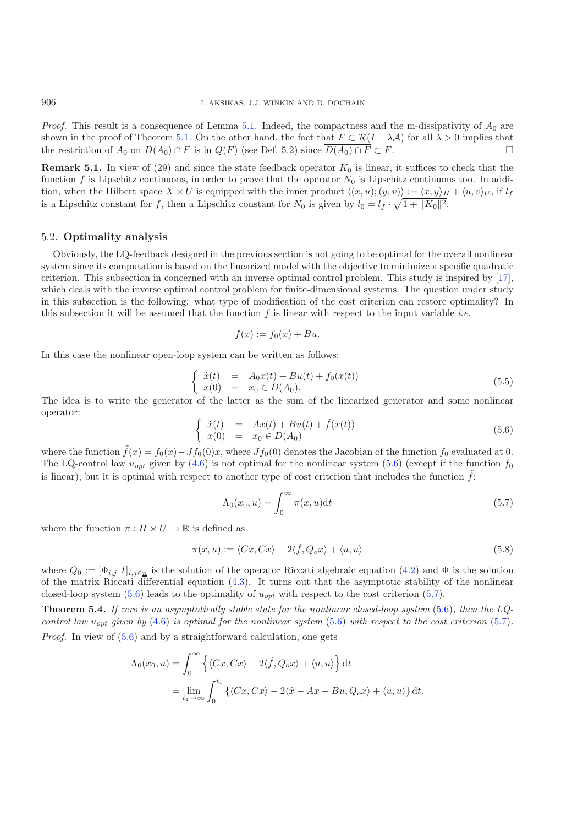*Proof.* This result is a consequence of Lemma [5.1.](#page-8-0) Indeed, the compactness and the m-dissipativity of  $A_0$  are shown in the proof of Theorem [5.1.](#page-7-1) On the other hand, the fact that  $F \subset \mathcal{R}(I - \lambda \mathcal{A})$  for all  $\lambda > 0$  implies that the restriction of  $A_0$  on  $D(A_0) \cap F$  is in  $Q(F)$  (see Def. 5.2) since  $\overline{D(A_0) \cap F} \subset F$ .

**Remark 5.1.** In view of  $(29)$  and since the state feedback operator  $K_0$  is linear, it suffices to check that the function f is Lipschitz continuous, in order to prove that the operator  $N_0$  is Lipschitz continuous too. In addition, when the Hilbert space  $X \times U$  is equipped with the inner product  $\langle (x, u); (y, v) \rangle := \langle x, y \rangle_H + \langle u, v \rangle_U$ , if  $l_f$ is a Lipschitz constant for f, then a Lipschitz constant for  $N_0$  is given by  $l_0 = l_f \cdot \sqrt{1 + ||K_0||^2}$ .

### 5.2. **Optimality analysis**

<span id="page-9-0"></span>Obviously, the LQ-feedback designed in the previous section is not going to be optimal for the overall nonlinear system since its computation is based on the linearized model with the objective to minimize a specific quadratic criterion. This subsection in concerned with an inverse optimal control problem. This study is inspired by [\[17\]](#page-11-24), which deals with the inverse optimal control problem for finite-dimensional systems. The question under study in this subsection is the following: what type of modification of the cost criterion can restore optimality? In this subsection it will be assumed that the function f is linear with respect to the input variable *i.e.*

$$
f(x) := f_0(x) + Bu.
$$

In this case the nonlinear open-loop system can be written as follows:

<span id="page-9-1"></span>
$$
\begin{cases}\n\dot{x}(t) = A_0 x(t) + B u(t) + f_0(x(t)) \\
x(0) = x_0 \in D(A_0).\n\end{cases}
$$
\n(5.5)

The idea is to write the generator of the latter as the sum of the linearized generator and some nonlinear operator:

$$
\begin{cases}\n\dot{x}(t) = Ax(t) + Bu(t) + \tilde{f}(x(t)) \\
x(0) = x_0 \in D(A_0)\n\end{cases} (5.6)
$$

where the function  $\tilde{f}(x) = f_0(x) - Jf_0(0)x$ , where  $Jf_0(0)$  denotes the Jacobian of the function  $f_0$  evaluated at 0. The LQ-control law  $u_{opt}$  given by [\(4.6\)](#page-6-2) is not optimal for the nonlinear system [\(5.6\)](#page-9-0) (except if the function  $f_0$ is linear), but it is optimal with respect to another type of cost criterion that includes the function  $\tilde{f}$ :

$$
\Lambda_0(x_0, u) = \int_0^\infty \pi(x, u) dt
$$
\n(5.7)

where the function  $\pi : H \times U \to \mathbb{R}$  is defined as

$$
\pi(x, u) := \langle Cx, Cx \rangle - 2\langle \tilde{f}, Q_o x \rangle + \langle u, u \rangle \tag{5.8}
$$

where  $Q_0 := [\Phi_{i,j} I]_{i,j \in \underline{n}}$  is the solution of the operator Riccati algebraic equation [\(4.2\)](#page-5-1) and  $\Phi$  is the solution of the matrix Riccati differential equation [\(4.3\)](#page-5-0). It turns out that the asymptotic stability of the nonlinear closed-loop system [\(5.6\)](#page-9-0) leads to the optimality of  $u_{opt}$  with respect to the cost criterion [\(5.7\)](#page-9-1).

<span id="page-9-2"></span>**Theorem 5.4.** *If zero is an asymptotically stable state for the nonlinear closed-loop system* [\(5.6\)](#page-9-0)*, then the LQcontrol law*  $u_{opt}$  *given by* [\(4.6\)](#page-6-2) *is optimal for the nonlinear system* [\(5.6\)](#page-9-0) *with respect to the cost criterion* [\(5.7\)](#page-9-1). *Proof.* In view of  $(5.6)$  and by a straightforward calculation, one gets

$$
\Lambda_0(x_0, u) = \int_0^\infty \left\{ \langle Cx, Cx \rangle - 2\langle \tilde{f}, Q_o x \rangle + \langle u, u \rangle \right\} dt
$$
  
= 
$$
\lim_{t_1 \to \infty} \int_0^{t_1} \left\{ \langle Cx, Cx \rangle - 2\langle \dot{x} - Ax - Bu, Q_o x \rangle + \langle u, u \rangle \right\} dt.
$$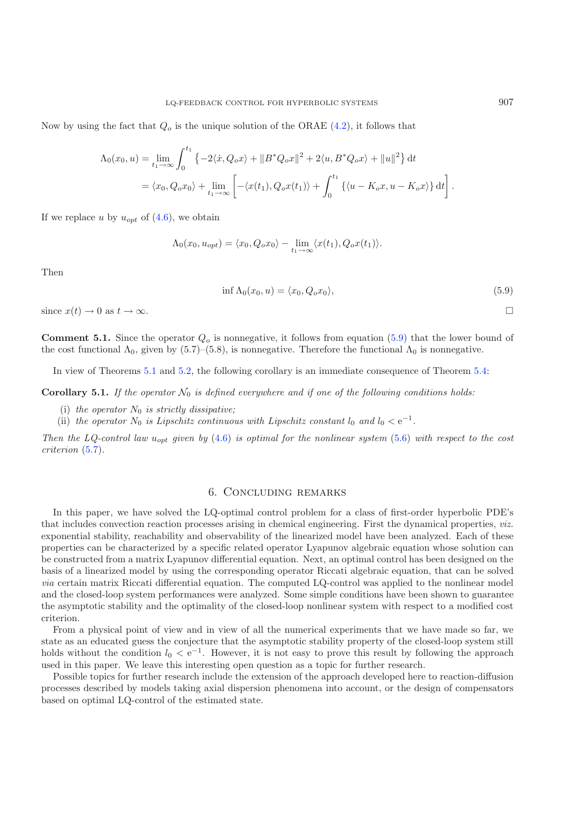Now by using the fact that  $Q<sub>o</sub>$  is the unique solution of the ORAE [\(4.2\)](#page-5-1), it follows that

<span id="page-10-0"></span>
$$
\Lambda_0(x_0, u) = \lim_{t_1 \to \infty} \int_0^{t_1} \left\{ -2 \langle \dot{x}, Q_o x \rangle + ||B^* Q_o x||^2 + 2 \langle u, B^* Q_o x \rangle + ||u||^2 \right\} dt
$$
  
=  $\langle x_0, Q_o x_0 \rangle + \lim_{t_1 \to \infty} \left[ -\langle x(t_1), Q_o x(t_1) \rangle + \int_0^{t_1} \left\{ \langle u - K_o x, u - K_o x \rangle \right\} dt \right].$ 

If we replace u by  $u_{opt}$  of  $(4.6)$ , we obtain

 $\Lambda_0(x_0, u_{opt}) = \langle x_0, Q_o x_0 \rangle - \lim_{t_1 \to \infty} \langle x(t_1), Q_o x(t_1) \rangle.$ 

Then

$$
\inf \Lambda_0(x_0, u) = \langle x_0, Q_o x_0 \rangle,\tag{5.9}
$$

since  $x(t) \to 0$  as  $t \to \infty$ .

**Comment 5.1.** Since the operator  $Q<sub>o</sub>$  is nonnegative, it follows from equation [\(5.9\)](#page-10-0) that the lower bound of the cost functional  $\Lambda_0$ , given by (5.7)–(5.8), is nonnegative. Therefore the functional  $\Lambda_0$  is nonnegative.

In view of Theorems [5.1](#page-7-1) and [5.2,](#page-7-2) the following corollary is an immediate consequence of Theorem [5.4:](#page-9-2)

**Corollary 5.1.** If the operator  $\mathcal{N}_0$  is defined everywhere and if one of the following conditions holds:

- (i) the operator  $N_0$  is strictly dissipative;
- (ii) the operator  $N_0$  is Lipschitz continuous with Lipschitz constant  $l_0$  and  $l_0 < e^{-1}$ .

*Then the LQ-control law u<sub>opt</sub> given by* [\(4.6\)](#page-6-2) *is optimal for the nonlinear system* [\(5.6\)](#page-9-0) *with respect to the cost criterion* [\(5.7\)](#page-9-1)*.*

## 6. Concluding remarks

In this paper, we have solved the LQ-optimal control problem for a class of first-order hyperbolic PDE's that includes convection reaction processes arising in chemical engineering. First the dynamical properties, *viz.* exponential stability, reachability and observability of the linearized model have been analyzed. Each of these properties can be characterized by a specific related operator Lyapunov algebraic equation whose solution can be constructed from a matrix Lyapunov differential equation. Next, an optimal control has been designed on the basis of a linearized model by using the corresponding operator Riccati algebraic equation, that can be solved *via* certain matrix Riccati differential equation. The computed LQ-control was applied to the nonlinear model and the closed-loop system performances were analyzed. Some simple conditions have been shown to guarantee the asymptotic stability and the optimality of the closed-loop nonlinear system with respect to a modified cost criterion.

From a physical point of view and in view of all the numerical experiments that we have made so far, we state as an educated guess the conjecture that the asymptotic stability property of the closed-loop system still holds without the condition  $l_0 < e^{-1}$ . However, it is not easy to prove this result by following the approach used in this paper. We leave this interesting open question as a topic for further research.

Possible topics for further research include the extension of the approach developed here to reaction-diffusion processes described by models taking axial dispersion phenomena into account, or the design of compensators based on optimal LQ-control of the estimated state.

 $\Box$